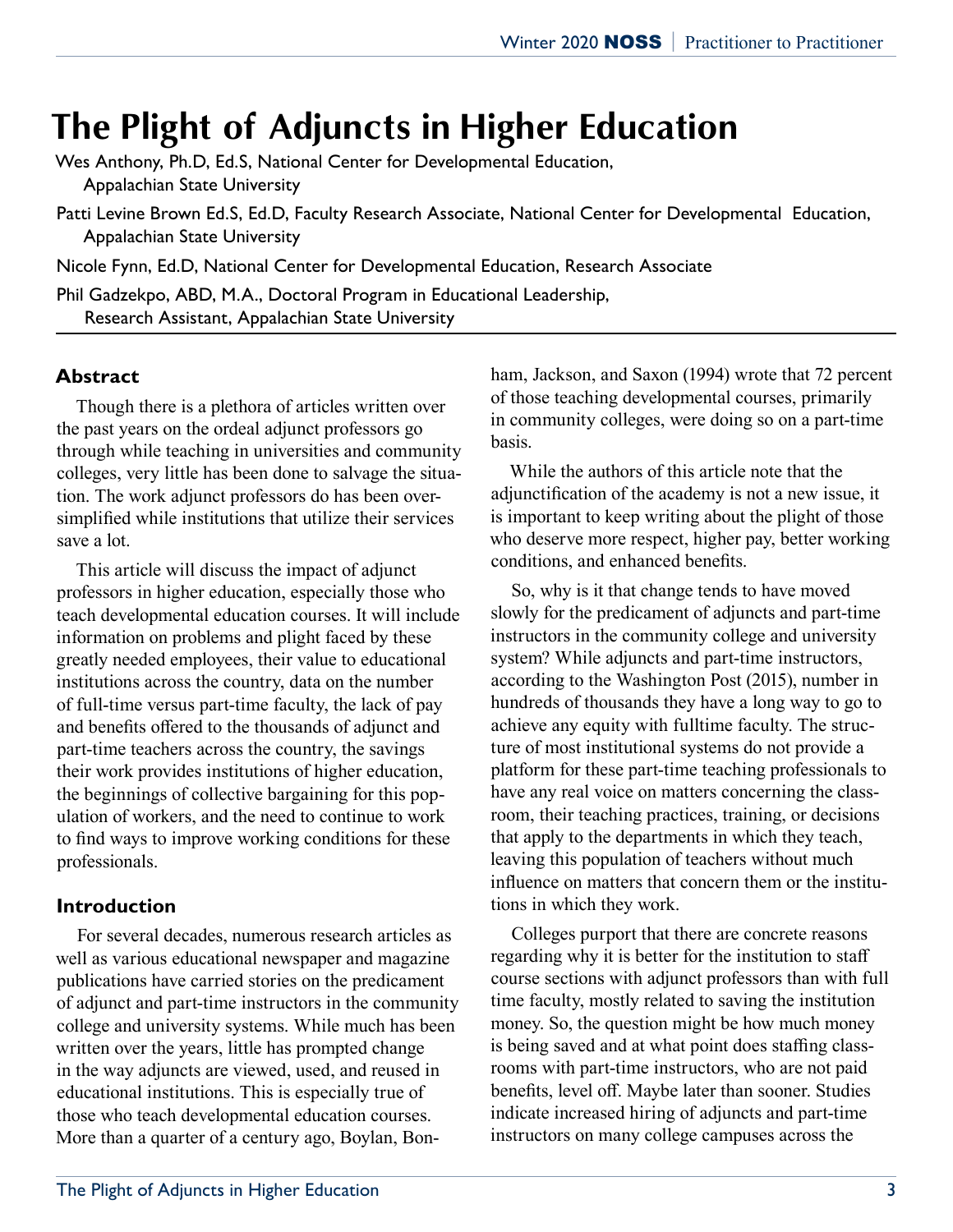# **The Plight of Adjuncts in Higher Education**

Wes Anthony, Ph.D, Ed.S, National Center for Developmental Education, Appalachian State University

Patti Levine Brown Ed.S, Ed.D, Faculty Research Associate, National Center for Developmental Education, Appalachian State University

Nicole Fynn, Ed.D, National Center for Developmental Education, Research Associate

Phil Gadzekpo, ABD, M.A., Doctoral Program in Educational Leadership, Research Assistant, Appalachian State University

#### **Abstract**

Though there is a plethora of articles written over the past years on the ordeal adjunct professors go through while teaching in universities and community colleges, very little has been done to salvage the situation. The work adjunct professors do has been oversimplified while institutions that utilize their services save a lot.

This article will discuss the impact of adjunct professors in higher education, especially those who teach developmental education courses. It will include information on problems and plight faced by these greatly needed employees, their value to educational institutions across the country, data on the number of full-time versus part-time faculty, the lack of pay and benefits offered to the thousands of adjunct and part-time teachers across the country, the savings their work provides institutions of higher education, the beginnings of collective bargaining for this population of workers, and the need to continue to work to find ways to improve working conditions for these professionals.

#### **Introduction**

For several decades, numerous research articles as well as various educational newspaper and magazine publications have carried stories on the predicament of adjunct and part-time instructors in the community college and university systems. While much has been written over the years, little has prompted change in the way adjuncts are viewed, used, and reused in educational institutions. This is especially true of those who teach developmental education courses. More than a quarter of a century ago, Boylan, Bonham, Jackson, and Saxon (1994) wrote that 72 percent of those teaching developmental courses, primarily in community colleges, were doing so on a part-time basis.

While the authors of this article note that the adjunctification of the academy is not a new issue, it is important to keep writing about the plight of those who deserve more respect, higher pay, better working conditions, and enhanced benefits.

So, why is it that change tends to have moved slowly for the predicament of adjuncts and part-time instructors in the community college and university system? While adjuncts and part-time instructors, according to the Washington Post (2015), number in hundreds of thousands they have a long way to go to achieve any equity with fulltime faculty. The structure of most institutional systems do not provide a platform for these part-time teaching professionals to have any real voice on matters concerning the classroom, their teaching practices, training, or decisions that apply to the departments in which they teach, leaving this population of teachers without much influence on matters that concern them or the institutions in which they work.

Colleges purport that there are concrete reasons regarding why it is better for the institution to staff course sections with adjunct professors than with full time faculty, mostly related to saving the institution money. So, the question might be how much money is being saved and at what point does staffing classrooms with part-time instructors, who are not paid benefits, level off. Maybe later than sooner. Studies indicate increased hiring of adjuncts and part-time instructors on many college campuses across the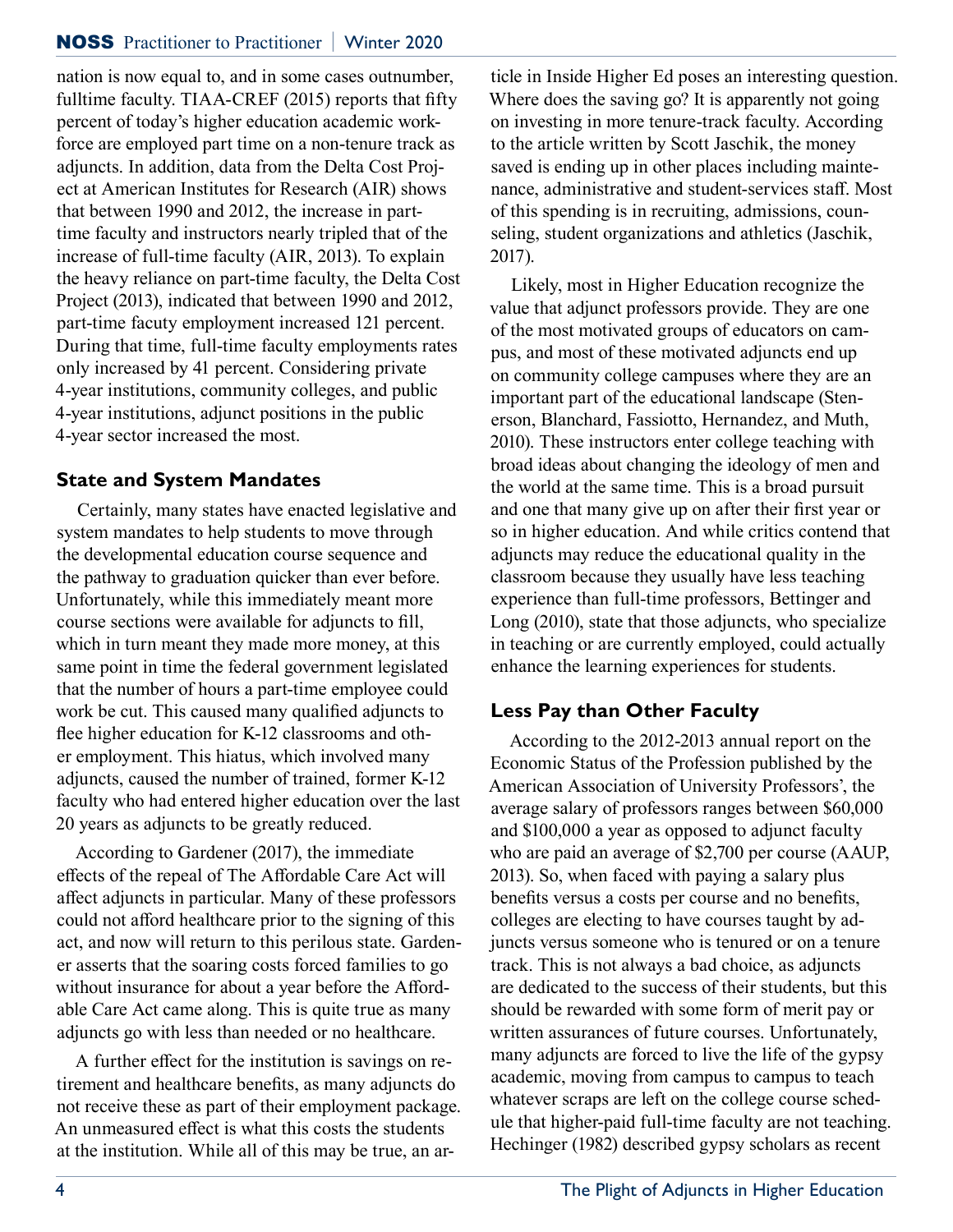nation is now equal to, and in some cases outnumber, fulltime faculty. TIAA-CREF (2015) reports that fifty percent of today's higher education academic workforce are employed part time on a non-tenure track as adjuncts. In addition, data from the Delta Cost Project at American Institutes for Research (AIR) shows that between 1990 and 2012, the increase in parttime faculty and instructors nearly tripled that of the increase of full-time faculty (AIR, 2013). To explain the heavy reliance on part-time faculty, the Delta Cost Project (2013), indicated that between 1990 and 2012, part-time facuty employment increased 121 percent. During that time, full-time faculty employments rates only increased by 41 percent. Considering private 4-year institutions, community colleges, and public 4-year institutions, adjunct positions in the public 4-year sector increased the most.

## **State and System Mandates**

Certainly, many states have enacted legislative and system mandates to help students to move through the developmental education course sequence and the pathway to graduation quicker than ever before. Unfortunately, while this immediately meant more course sections were available for adjuncts to fill, which in turn meant they made more money, at this same point in time the federal government legislated that the number of hours a part-time employee could work be cut. This caused many qualified adjuncts to flee higher education for K-12 classrooms and other employment. This hiatus, which involved many adjuncts, caused the number of trained, former K-12 faculty who had entered higher education over the last 20 years as adjuncts to be greatly reduced.

According to Gardener (2017), the immediate effects of the repeal of The Affordable Care Act will affect adjuncts in particular. Many of these professors could not afford healthcare prior to the signing of this act, and now will return to this perilous state. Gardener asserts that the soaring costs forced families to go without insurance for about a year before the Affordable Care Act came along. This is quite true as many adjuncts go with less than needed or no healthcare.

A further effect for the institution is savings on retirement and healthcare benefits, as many adjuncts do not receive these as part of their employment package. An unmeasured effect is what this costs the students at the institution. While all of this may be true, an article in Inside Higher Ed poses an interesting question. Where does the saving go? It is apparently not going on investing in more tenure-track faculty. According to the article written by Scott Jaschik, the money saved is ending up in other places including maintenance, administrative and student-services staff. Most of this spending is in recruiting, admissions, counseling, student organizations and athletics (Jaschik, 2017).

Likely, most in Higher Education recognize the value that adjunct professors provide. They are one of the most motivated groups of educators on campus, and most of these motivated adjuncts end up on community college campuses where they are an important part of the educational landscape (Stenerson, Blanchard, Fassiotto, Hernandez, and Muth, 2010). These instructors enter college teaching with broad ideas about changing the ideology of men and the world at the same time. This is a broad pursuit and one that many give up on after their first year or so in higher education. And while critics contend that adjuncts may reduce the educational quality in the classroom because they usually have less teaching experience than full-time professors, Bettinger and Long (2010), state that those adjuncts, who specialize in teaching or are currently employed, could actually enhance the learning experiences for students.

## **Less Pay than Other Faculty**

According to the 2012-2013 annual report on the Economic Status of the Profession published by the American Association of University Professors', the average salary of professors ranges between \$60,000 and \$100,000 a year as opposed to adjunct faculty who are paid an average of \$2,700 per course (AAUP, 2013). So, when faced with paying a salary plus benefits versus a costs per course and no benefits, colleges are electing to have courses taught by adjuncts versus someone who is tenured or on a tenure track. This is not always a bad choice, as adjuncts are dedicated to the success of their students, but this should be rewarded with some form of merit pay or written assurances of future courses. Unfortunately, many adjuncts are forced to live the life of the gypsy academic, moving from campus to campus to teach whatever scraps are left on the college course schedule that higher-paid full-time faculty are not teaching. Hechinger (1982) described gypsy scholars as recent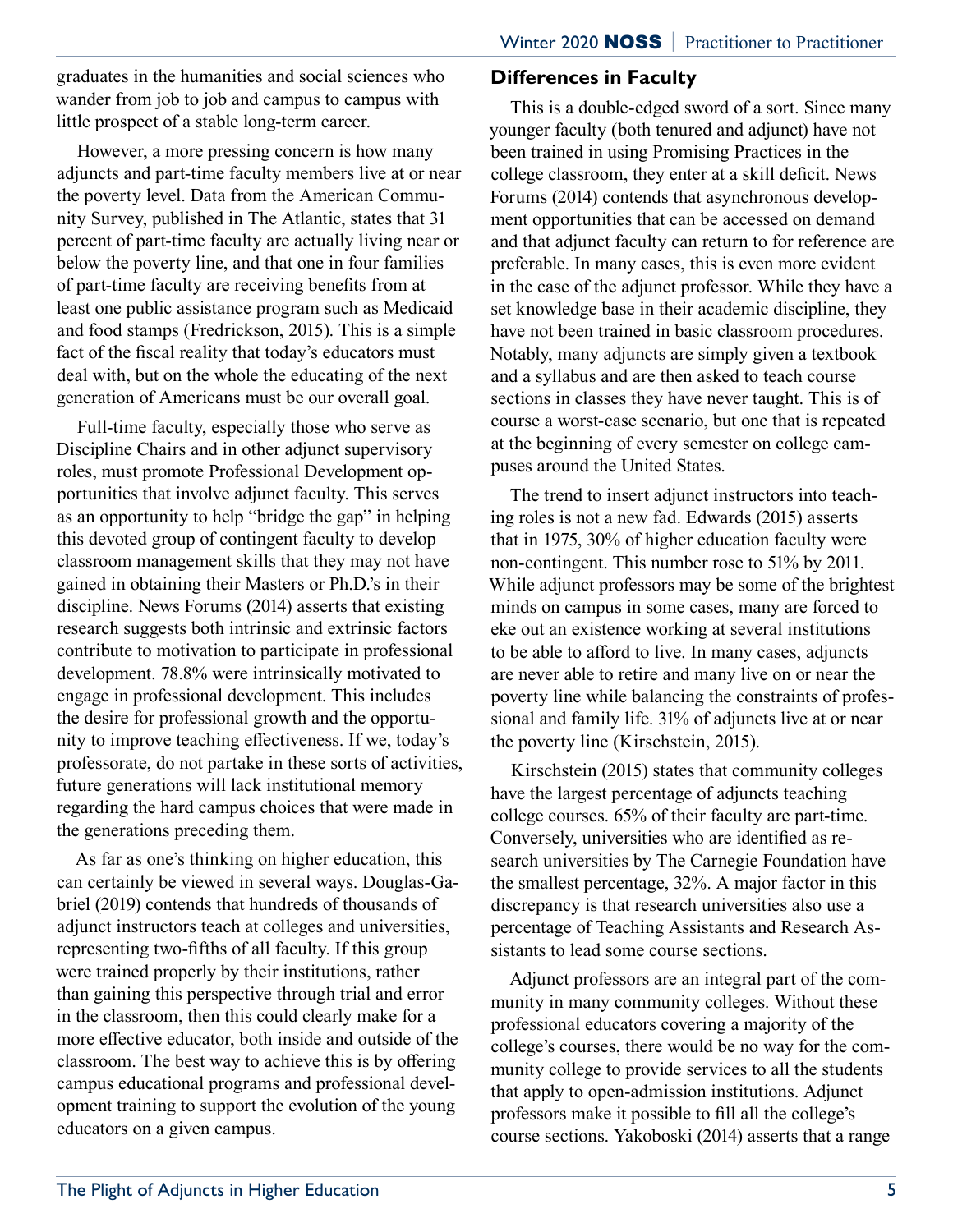graduates in the humanities and social sciences who wander from job to job and campus to campus with little prospect of a stable long-term career.

However, a more pressing concern is how many adjuncts and part-time faculty members live at or near the poverty level. Data from the American Community Survey, published in The Atlantic, states that 31 percent of part-time faculty are actually living near or below the poverty line, and that one in four families of part-time faculty are receiving benefits from at least one public assistance program such as Medicaid and food stamps (Fredrickson, 2015). This is a simple fact of the fiscal reality that today's educators must deal with, but on the whole the educating of the next generation of Americans must be our overall goal.

Full-time faculty, especially those who serve as Discipline Chairs and in other adjunct supervisory roles, must promote Professional Development opportunities that involve adjunct faculty. This serves as an opportunity to help "bridge the gap" in helping this devoted group of contingent faculty to develop classroom management skills that they may not have gained in obtaining their Masters or Ph.D.'s in their discipline. News Forums (2014) asserts that existing research suggests both intrinsic and extrinsic factors contribute to motivation to participate in professional development. 78.8% were intrinsically motivated to engage in professional development. This includes the desire for professional growth and the opportunity to improve teaching effectiveness. If we, today's professorate, do not partake in these sorts of activities, future generations will lack institutional memory regarding the hard campus choices that were made in the generations preceding them.

As far as one's thinking on higher education, this can certainly be viewed in several ways. Douglas-Gabriel (2019) contends that hundreds of thousands of adjunct instructors teach at colleges and universities, representing two-fifths of all faculty. If this group were trained properly by their institutions, rather than gaining this perspective through trial and error in the classroom, then this could clearly make for a more effective educator, both inside and outside of the classroom. The best way to achieve this is by offering campus educational programs and professional development training to support the evolution of the young educators on a given campus.

#### **Differences in Faculty**

This is a double-edged sword of a sort. Since many younger faculty (both tenured and adjunct) have not been trained in using Promising Practices in the college classroom, they enter at a skill deficit. News Forums (2014) contends that asynchronous development opportunities that can be accessed on demand and that adjunct faculty can return to for reference are preferable. In many cases, this is even more evident in the case of the adjunct professor. While they have a set knowledge base in their academic discipline, they have not been trained in basic classroom procedures. Notably, many adjuncts are simply given a textbook and a syllabus and are then asked to teach course sections in classes they have never taught. This is of course a worst-case scenario, but one that is repeated at the beginning of every semester on college campuses around the United States.

The trend to insert adjunct instructors into teaching roles is not a new fad. Edwards (2015) asserts that in 1975, 30% of higher education faculty were non-contingent. This number rose to 51% by 2011. While adjunct professors may be some of the brightest minds on campus in some cases, many are forced to eke out an existence working at several institutions to be able to afford to live. In many cases, adjuncts are never able to retire and many live on or near the poverty line while balancing the constraints of professional and family life. 31% of adjuncts live at or near the poverty line (Kirschstein, 2015).

Kirschstein (2015) states that community colleges have the largest percentage of adjuncts teaching college courses. 65% of their faculty are part-time. Conversely, universities who are identified as research universities by The Carnegie Foundation have the smallest percentage, 32%. A major factor in this discrepancy is that research universities also use a percentage of Teaching Assistants and Research Assistants to lead some course sections.

Adjunct professors are an integral part of the community in many community colleges. Without these professional educators covering a majority of the college's courses, there would be no way for the community college to provide services to all the students that apply to open-admission institutions. Adjunct professors make it possible to fill all the college's course sections. Yakoboski (2014) asserts that a range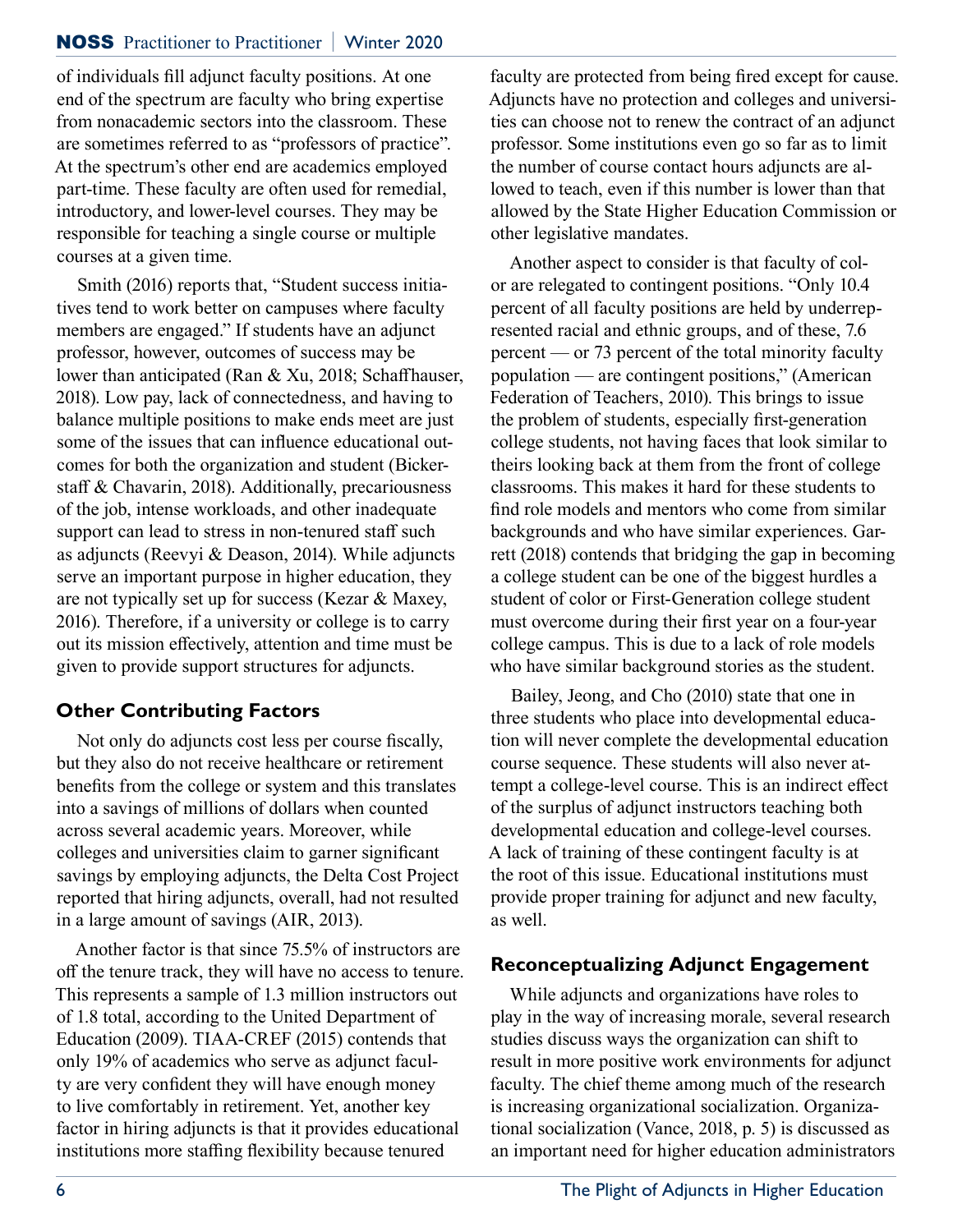#### NOSS Practitioner to Practitioner **|** Winter 2020

of individuals fill adjunct faculty positions. At one end of the spectrum are faculty who bring expertise from nonacademic sectors into the classroom. These are sometimes referred to as "professors of practice". At the spectrum's other end are academics employed part-time. These faculty are often used for remedial, introductory, and lower-level courses. They may be responsible for teaching a single course or multiple courses at a given time.

Smith (2016) reports that, "Student success initiatives tend to work better on campuses where faculty members are engaged." If students have an adjunct professor, however, outcomes of success may be lower than anticipated (Ran & Xu, 2018; Schaffhauser, 2018). Low pay, lack of connectedness, and having to balance multiple positions to make ends meet are just some of the issues that can influence educational outcomes for both the organization and student (Bickerstaff & Chavarin, 2018). Additionally, precariousness of the job, intense workloads, and other inadequate support can lead to stress in non-tenured staff such as adjuncts (Reevyi & Deason, 2014). While adjuncts serve an important purpose in higher education, they are not typically set up for success (Kezar & Maxey, 2016). Therefore, if a university or college is to carry out its mission effectively, attention and time must be given to provide support structures for adjuncts.

### **Other Contributing Factors**

Not only do adjuncts cost less per course fiscally, but they also do not receive healthcare or retirement benefits from the college or system and this translates into a savings of millions of dollars when counted across several academic years. Moreover, while colleges and universities claim to garner significant savings by employing adjuncts, the Delta Cost Project reported that hiring adjuncts, overall, had not resulted in a large amount of savings (AIR, 2013).

Another factor is that since 75.5% of instructors are off the tenure track, they will have no access to tenure. This represents a sample of 1.3 million instructors out of 1.8 total, according to the United Department of Education (2009). TIAA-CREF (2015) contends that only 19% of academics who serve as adjunct faculty are very confident they will have enough money to live comfortably in retirement. Yet, another key factor in hiring adjuncts is that it provides educational institutions more staffing flexibility because tenured

faculty are protected from being fired except for cause. Adjuncts have no protection and colleges and universities can choose not to renew the contract of an adjunct professor. Some institutions even go so far as to limit the number of course contact hours adjuncts are allowed to teach, even if this number is lower than that allowed by the State Higher Education Commission or other legislative mandates.

Another aspect to consider is that faculty of color are relegated to contingent positions. "Only 10.4 percent of all faculty positions are held by underrepresented racial and ethnic groups, and of these, 7.6 percent — or 73 percent of the total minority faculty population — are contingent positions," (American Federation of Teachers, 2010). This brings to issue the problem of students, especially first-generation college students, not having faces that look similar to theirs looking back at them from the front of college classrooms. This makes it hard for these students to find role models and mentors who come from similar backgrounds and who have similar experiences. Garrett (2018) contends that bridging the gap in becoming a college student can be one of the biggest hurdles a student of color or First-Generation college student must overcome during their first year on a four-year college campus. This is due to a lack of role models who have similar background stories as the student.

Bailey, Jeong, and Cho (2010) state that one in three students who place into developmental education will never complete the developmental education course sequence. These students will also never attempt a college-level course. This is an indirect effect of the surplus of adjunct instructors teaching both developmental education and college-level courses. A lack of training of these contingent faculty is at the root of this issue. Educational institutions must provide proper training for adjunct and new faculty, as well.

#### **Reconceptualizing Adjunct Engagement**

While adjuncts and organizations have roles to play in the way of increasing morale, several research studies discuss ways the organization can shift to result in more positive work environments for adjunct faculty. The chief theme among much of the research is increasing organizational socialization. Organizational socialization (Vance, 2018, p. 5) is discussed as an important need for higher education administrators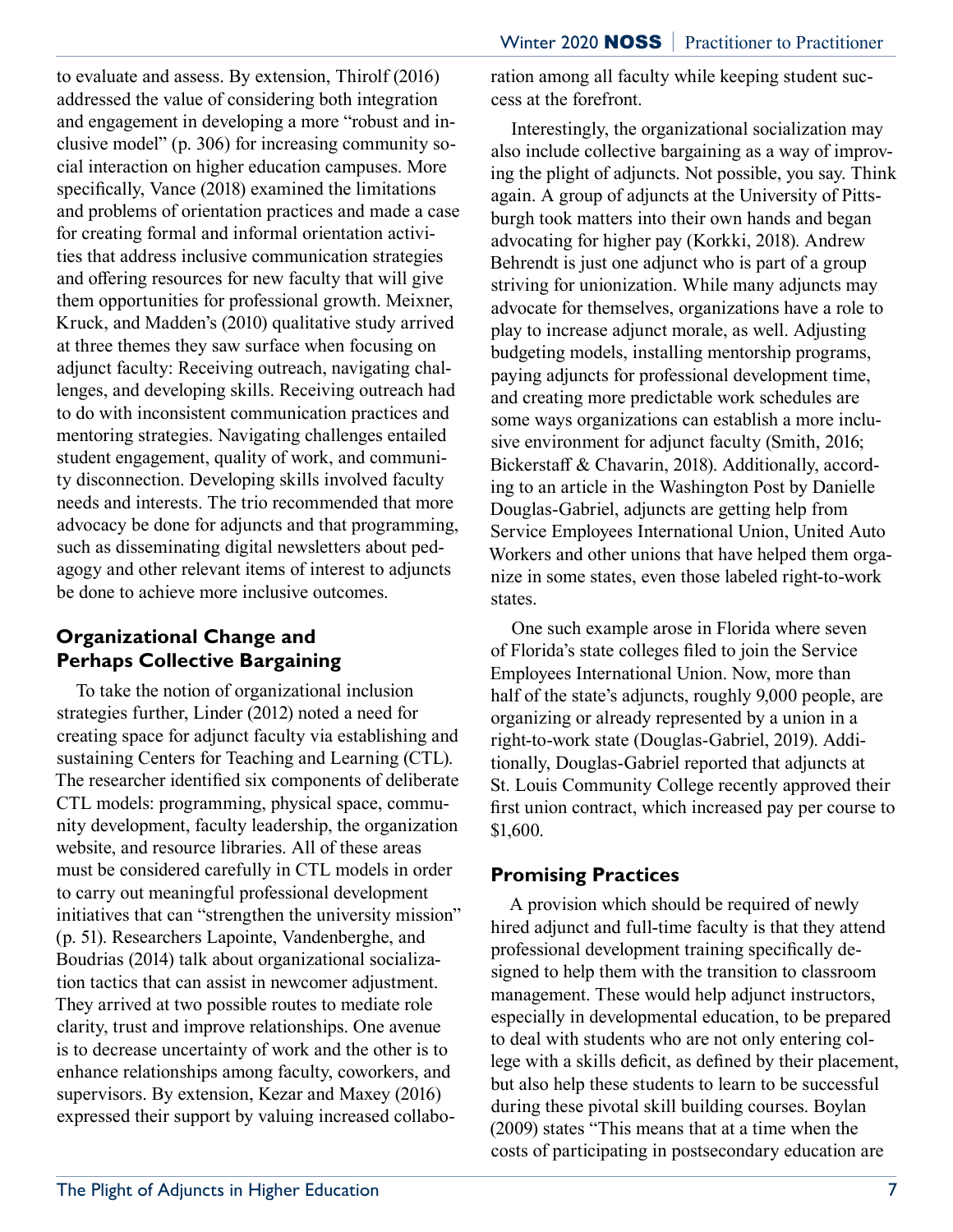to evaluate and assess. By extension, Thirolf (2016) addressed the value of considering both integration and engagement in developing a more "robust and inclusive model" (p. 306) for increasing community social interaction on higher education campuses. More specifically, Vance (2018) examined the limitations and problems of orientation practices and made a case for creating formal and informal orientation activities that address inclusive communication strategies and offering resources for new faculty that will give them opportunities for professional growth. Meixner, Kruck, and Madden's (2010) qualitative study arrived at three themes they saw surface when focusing on adjunct faculty: Receiving outreach, navigating challenges, and developing skills. Receiving outreach had to do with inconsistent communication practices and mentoring strategies. Navigating challenges entailed student engagement, quality of work, and community disconnection. Developing skills involved faculty needs and interests. The trio recommended that more advocacy be done for adjuncts and that programming, such as disseminating digital newsletters about pedagogy and other relevant items of interest to adjuncts be done to achieve more inclusive outcomes.

## **Organizational Change and Perhaps Collective Bargaining**

To take the notion of organizational inclusion strategies further, Linder (2012) noted a need for creating space for adjunct faculty via establishing and sustaining Centers for Teaching and Learning (CTL). The researcher identified six components of deliberate CTL models: programming, physical space, community development, faculty leadership, the organization website, and resource libraries. All of these areas must be considered carefully in CTL models in order to carry out meaningful professional development initiatives that can "strengthen the university mission" (p. 51). Researchers Lapointe, Vandenberghe, and Boudrias (2014) talk about organizational socialization tactics that can assist in newcomer adjustment. They arrived at two possible routes to mediate role clarity, trust and improve relationships. One avenue is to decrease uncertainty of work and the other is to enhance relationships among faculty, coworkers, and supervisors. By extension, Kezar and Maxey (2016) expressed their support by valuing increased collaboration among all faculty while keeping student success at the forefront.

Interestingly, the organizational socialization may also include collective bargaining as a way of improving the plight of adjuncts. Not possible, you say. Think again. A group of adjuncts at the University of Pittsburgh took matters into their own hands and began advocating for higher pay (Korkki, 2018). Andrew Behrendt is just one adjunct who is part of a group striving for unionization. While many adjuncts may advocate for themselves, organizations have a role to play to increase adjunct morale, as well. Adjusting budgeting models, installing mentorship programs, paying adjuncts for professional development time, and creating more predictable work schedules are some ways organizations can establish a more inclusive environment for adjunct faculty (Smith, 2016; Bickerstaff & Chavarin, 2018). Additionally, according to an article in the Washington Post by Danielle Douglas-Gabriel, adjuncts are getting help from Service Employees International Union, United Auto Workers and other unions that have helped them organize in some states, even those labeled right-to-work states.

One such example arose in Florida where seven of Florida's state colleges filed to join the Service Employees International Union. Now, more than half of the state's adjuncts, roughly 9,000 people, are organizing or already represented by a union in a right-to-work state (Douglas-Gabriel, 2019). Additionally, Douglas-Gabriel reported that adjuncts at St. Louis Community College recently approved their first union contract, which increased pay per course to \$1,600.

## **Promising Practices**

A provision which should be required of newly hired adjunct and full-time faculty is that they attend professional development training specifically designed to help them with the transition to classroom management. These would help adjunct instructors, especially in developmental education, to be prepared to deal with students who are not only entering college with a skills deficit, as defined by their placement, but also help these students to learn to be successful during these pivotal skill building courses. Boylan (2009) states "This means that at a time when the costs of participating in postsecondary education are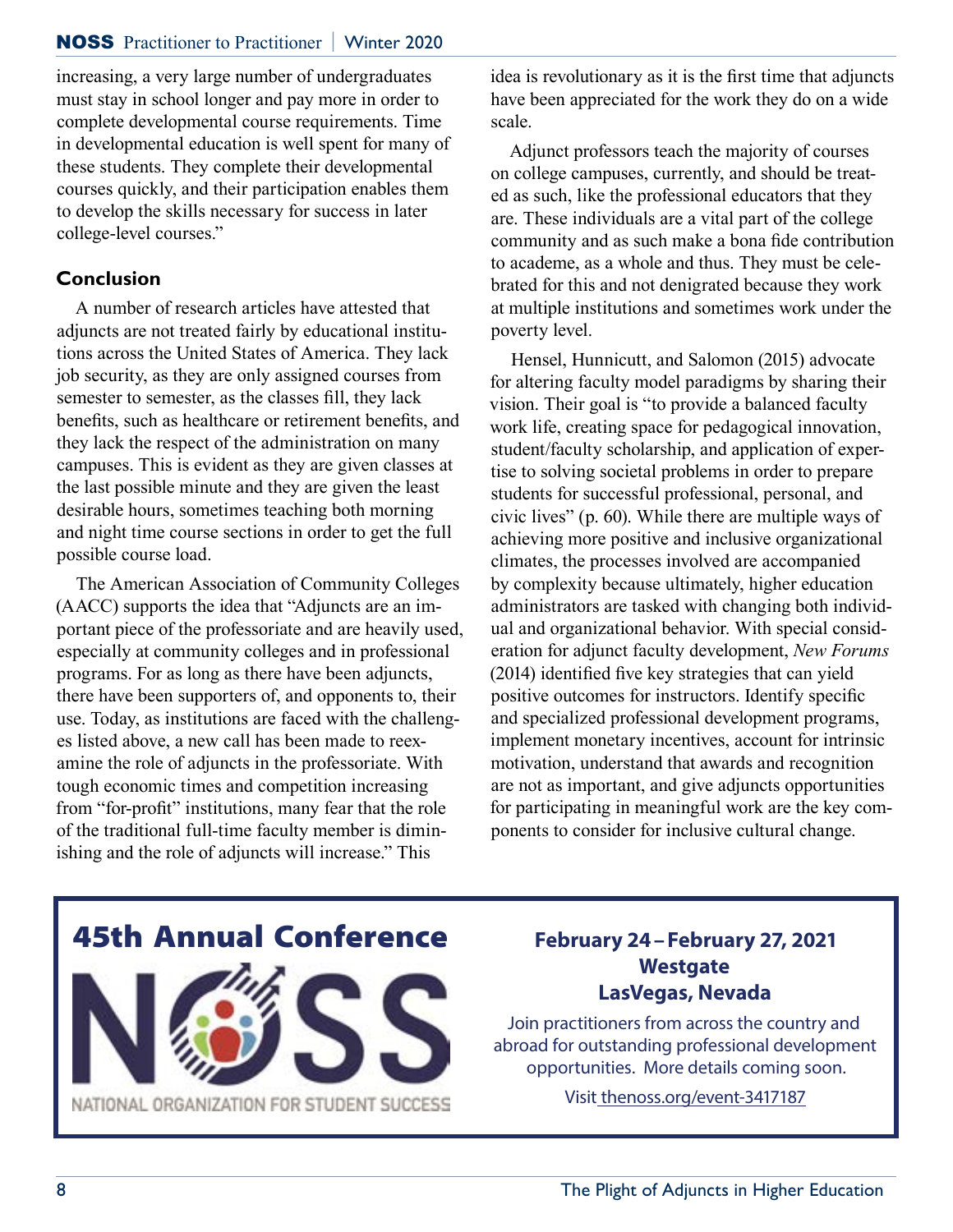#### NOSS Practitioner to Practitioner **|** Winter 2020

increasing, a very large number of undergraduates must stay in school longer and pay more in order to complete developmental course requirements. Time in developmental education is well spent for many of these students. They complete their developmental courses quickly, and their participation enables them to develop the skills necessary for success in later college-level courses."

#### **Conclusion**

A number of research articles have attested that adjuncts are not treated fairly by educational institutions across the United States of America. They lack job security, as they are only assigned courses from semester to semester, as the classes fill, they lack benefits, such as healthcare or retirement benefits, and they lack the respect of the administration on many campuses. This is evident as they are given classes at the last possible minute and they are given the least desirable hours, sometimes teaching both morning and night time course sections in order to get the full possible course load.

The American Association of Community Colleges (AACC) supports the idea that "Adjuncts are an important piece of the professoriate and are heavily used, especially at community colleges and in professional programs. For as long as there have been adjuncts, there have been supporters of, and opponents to, their use. Today, as institutions are faced with the challenges listed above, a new call has been made to reexamine the role of adjuncts in the professoriate. With tough economic times and competition increasing from "for-profit" institutions, many fear that the role of the traditional full-time faculty member is diminishing and the role of adjuncts will increase." This

idea is revolutionary as it is the first time that adjuncts have been appreciated for the work they do on a wide scale.

Adjunct professors teach the majority of courses on college campuses, currently, and should be treated as such, like the professional educators that they are. These individuals are a vital part of the college community and as such make a bona fide contribution to academe, as a whole and thus. They must be celebrated for this and not denigrated because they work at multiple institutions and sometimes work under the poverty level.

Hensel, Hunnicutt, and Salomon (2015) advocate for altering faculty model paradigms by sharing their vision. Their goal is "to provide a balanced faculty work life, creating space for pedagogical innovation, student/faculty scholarship, and application of expertise to solving societal problems in order to prepare students for successful professional, personal, and civic lives" (p. 60). While there are multiple ways of achieving more positive and inclusive organizational climates, the processes involved are accompanied by complexity because ultimately, higher education administrators are tasked with changing both individual and organizational behavior. With special consideration for adjunct faculty development, *New Forums* (2014) identified five key strategies that can yield positive outcomes for instructors. Identify specific and specialized professional development programs, implement monetary incentives, account for intrinsic motivation, understand that awards and recognition are not as important, and give adjuncts opportunities for participating in meaningful work are the key components to consider for inclusive cultural change.



## **Westgate LasVegas, Nevada**

Join practitioners from across the country and abroad for outstanding professional development opportunities. More details coming soon.

Visit thenoss.org/event-3417187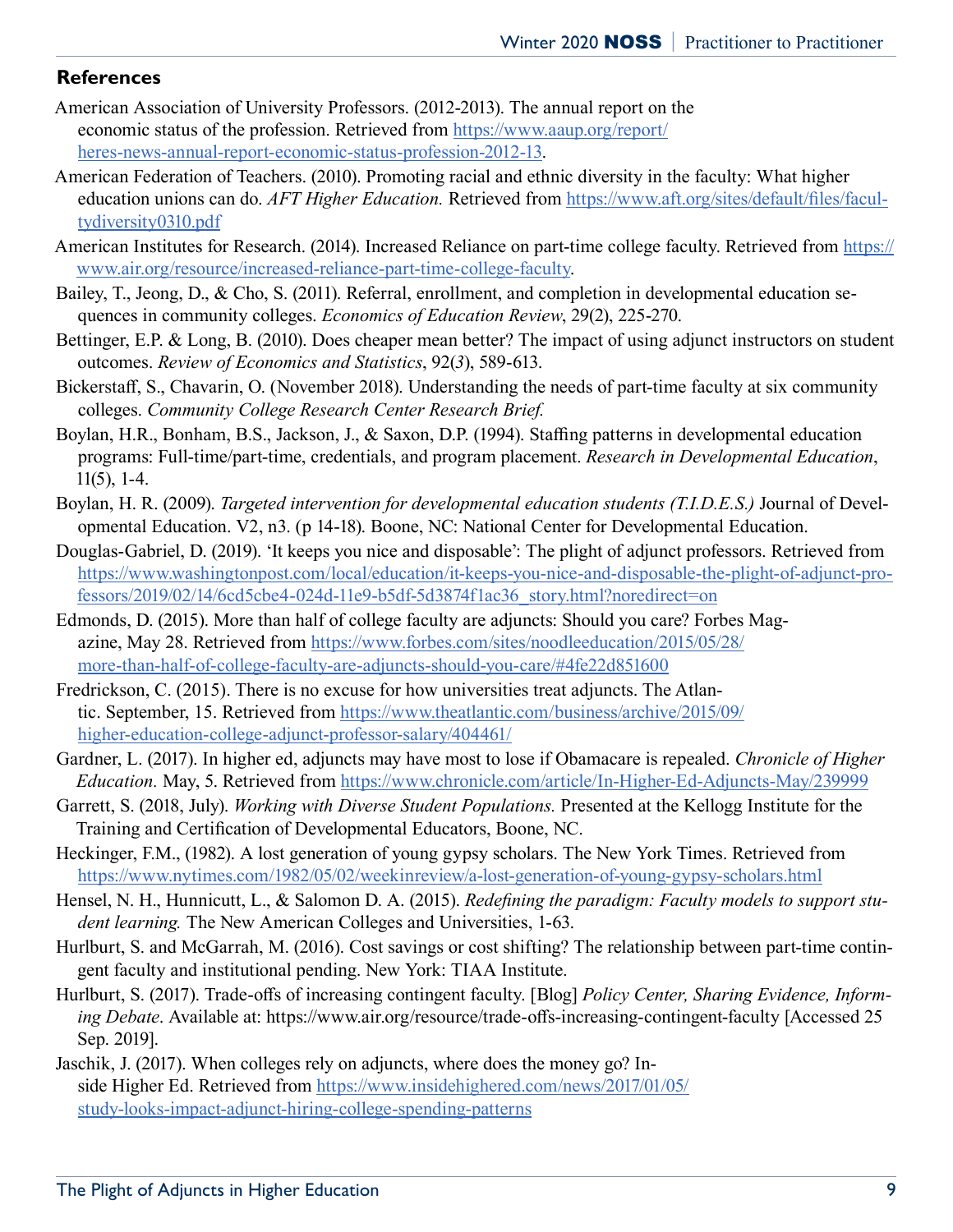#### **References**

- American Association of University Professors. (2012-2013). The annual report on the economic status of the profession. Retrieved from https://www.aaup.org/report/ heres-news-annual-report-economic-status-profession-2012-13.
- American Federation of Teachers. (2010). Promoting racial and ethnic diversity in the faculty: What higher education unions can do. *AFT Higher Education.* Retrieved from https://www.aft.org/sites/default/files/facultydiversity0310.pdf
- American Institutes for Research. (2014). Increased Reliance on part-time college faculty. Retrieved from https:// www.air.org/resource/increased-reliance-part-time-college-faculty.
- Bailey, T., Jeong, D., & Cho, S. (2011). Referral, enrollment, and completion in developmental education sequences in community colleges. *Economics of Education Review*, 29(2), 225-270.
- Bettinger, E.P. & Long, B. (2010). Does cheaper mean better? The impact of using adjunct instructors on student outcomes. *Review of Economics and Statistics*, 92(*3*), 589-613.
- Bickerstaff, S., Chavarin, O. (November 2018). Understanding the needs of part-time faculty at six community colleges. *Community College Research Center Research Brief.*
- Boylan, H.R., Bonham, B.S., Jackson, J., & Saxon, D.P. (1994). Staffing patterns in developmental education programs: Full-time/part-time, credentials, and program placement. *Research in Developmental Education*, 11(5), 1-4.
- Boylan, H. R. (2009). *Targeted intervention for developmental education students (T.I.D.E.S.)* Journal of Developmental Education. V2, n3. (p 14-18). Boone, NC: National Center for Developmental Education.
- Douglas-Gabriel, D. (2019). 'It keeps you nice and disposable': The plight of adjunct professors. Retrieved from https://www.washingtonpost.com/local/education/it-keeps-you-nice-and-disposable-the-plight-of-adjunct-professors/2019/02/14/6cd5cbe4-024d-11e9-b5df-5d3874f1ac36\_story.html?noredirect=on
- Edmonds, D. (2015). More than half of college faculty are adjuncts: Should you care? Forbes Magazine, May 28. Retrieved from https://www.forbes.com/sites/noodleeducation/2015/05/28/ more-than-half-of-college-faculty-are-adjuncts-should-you-care/#4fe22d851600
- Fredrickson, C. (2015). There is no excuse for how universities treat adjuncts. The Atlantic. September, 15. Retrieved from https://www.theatlantic.com/business/archive/2015/09/ higher-education-college-adjunct-professor-salary/404461/
- Gardner, L. (2017). In higher ed, adjuncts may have most to lose if Obamacare is repealed. *Chronicle of Higher Education.* May, 5. Retrieved from https://www.chronicle.com/article/In-Higher-Ed-Adjuncts-May/239999
- Garrett, S. (2018, July). *Working with Diverse Student Populations.* Presented at the Kellogg Institute for the Training and Certification of Developmental Educators, Boone, NC.
- Heckinger, F.M., (1982). A lost generation of young gypsy scholars. The New York Times. Retrieved from https://www.nytimes.com/1982/05/02/weekinreview/a-lost-generation-of-young-gypsy-scholars.html
- Hensel, N. H., Hunnicutt, L., & Salomon D. A. (2015). *Redefining the paradigm: Faculty models to support student learning.* The New American Colleges and Universities, 1-63.
- Hurlburt, S. and McGarrah, M. (2016). Cost savings or cost shifting? The relationship between part-time contingent faculty and institutional pending. New York: TIAA Institute.
- Hurlburt, S. (2017). Trade-offs of increasing contingent faculty. [Blog] *Policy Center, Sharing Evidence, Informing Debate*. Available at: https://www.air.org/resource/trade-offs-increasing-contingent-faculty [Accessed 25 Sep. 2019].
- Jaschik, J. (2017). When colleges rely on adjuncts, where does the money go? Inside Higher Ed. Retrieved from https://www.insidehighered.com/news/2017/01/05/ study-looks-impact-adjunct-hiring-college-spending-patterns